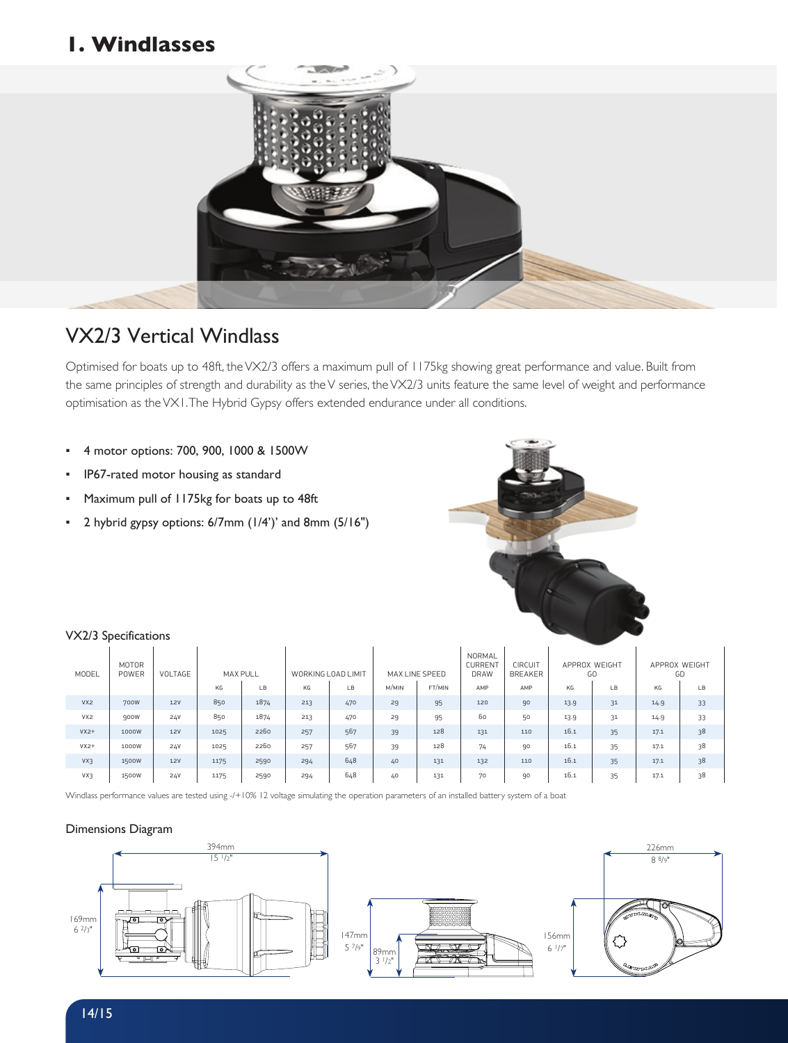# **1. Windlasses**



# VX2/3 Vertical Windlass

Optimised for boats up to 48ft, the VX2/3 offers a maximum pull of 1175kg showing great performance and value. Built from the same principles of strength and durability as the V series, the VX2/3 units feature the same level of weight and performance optimisation as the VX1. The Hybrid Gypsy offers extended endurance under all conditions.

- 4 motor options: 700, 900, 1000 & 1500W
- IP67-rated motor housing as standard
- Maximum pull of 1175kg for boats up to 48ft
- 2 hybrid gypsy options: 6/7mm (1/4')' and 8mm (5/16")



#### VX2/3 Specifications

| MODEL           | MOTOR<br>POWER | VOLTAGE    | <b>MAX PULL</b> |      | WORKING LOAD LIMIT |     | MAX LINE SPEED |        | NORMAL<br><b>CURRENT</b><br><b>DRAW</b> | CIRCUIT<br><b>BREAKER</b> | APPROX WEIGHT<br>GO |    | APPROX WEIGHT<br>GD |    |
|-----------------|----------------|------------|-----------------|------|--------------------|-----|----------------|--------|-----------------------------------------|---------------------------|---------------------|----|---------------------|----|
|                 |                |            | KG              | LB   | KG                 | LB  | M/MIN          | FT/MIN | AMP                                     | AMP                       | KG                  | LB | KG                  | LB |
| VX2             | 700W           | <b>12V</b> | 850             | 1874 | 213                | 470 | 29             | 95     | 120                                     | 90                        | 13.9                | 31 | 14.9                | 33 |
| VX <sub>2</sub> | 900W           | 24V        | 850             | 1874 | 213                | 470 | 29             | 95     | 60                                      | 50                        | 13.9                | 31 | 14.9                | 33 |
| $VX2+$          | 1000W          | <b>12V</b> | 1025            | 2260 | 257                | 567 | 39             | 128    | 131                                     | 110                       | 16.1                | 35 | 17.1                | 38 |
| $VX2+$          | 1000W          | 24V        | 1025            | 2260 | 257                | 567 | 39             | 128    | 74                                      | 90                        | 16.1                | 35 | 17.1                | 38 |
| VX3             | 1500W          | <b>12V</b> | 1175            | 2590 | 294                | 648 | 40             | 131    | 132                                     | 110                       | 16.1                | 35 | 17.1                | 38 |
| VX3             | 1500W          | 24V        | 1175            | 2590 | 294                | 648 | 40             | 131    | 70                                      | 90                        | 16.1                | 35 | 17.1                | 38 |

Windlass performance values are tested using -/+10% 12 voltage simulating the operation parameters of an installed battery system of a boat

## Dimensions Diagram